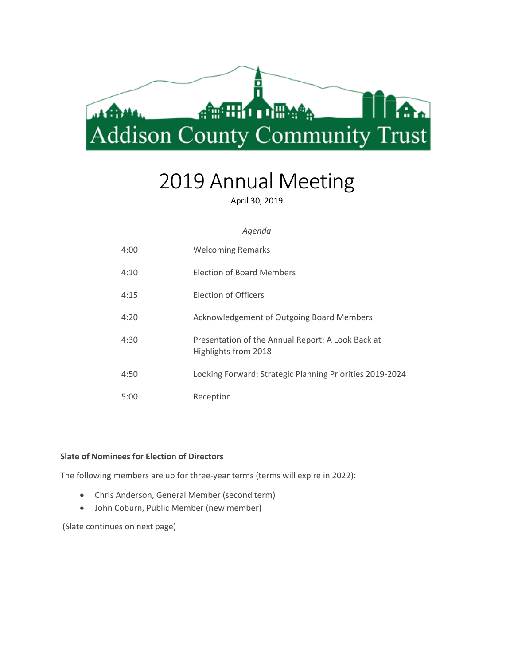

# 2019 Annual Meeting

April 30, 2019

#### *Agenda*

| 4:00 | <b>Welcoming Remarks</b>                                                  |
|------|---------------------------------------------------------------------------|
| 4:10 | <b>Election of Board Members</b>                                          |
| 4:15 | Election of Officers                                                      |
| 4:20 | Acknowledgement of Outgoing Board Members                                 |
| 4:30 | Presentation of the Annual Report: A Look Back at<br>Highlights from 2018 |
| 4:50 | Looking Forward: Strategic Planning Priorities 2019-2024                  |
| 5:00 | Reception                                                                 |

### **Slate of Nominees for Election of Directors**

The following members are up for three-year terms (terms will expire in 2022):

- Chris Anderson, General Member (second term)
- John Coburn, Public Member (new member)

(Slate continues on next page)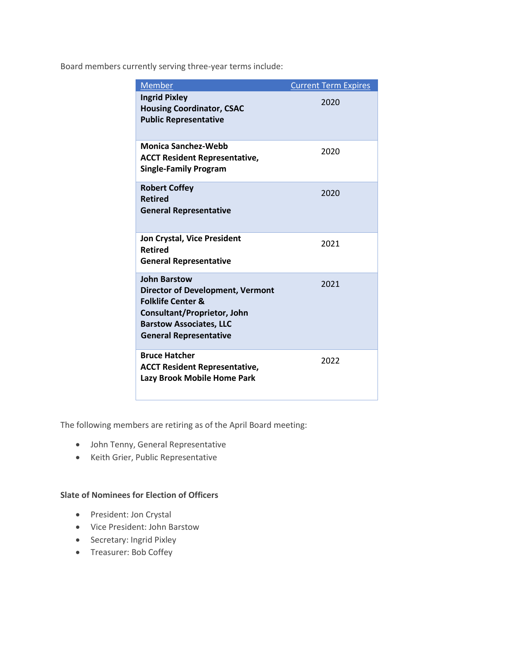Board members currently serving three-year terms include:

| Member                                                                                                                                                                                                  | <b>Current Term Expires</b> |
|---------------------------------------------------------------------------------------------------------------------------------------------------------------------------------------------------------|-----------------------------|
| <b>Ingrid Pixley</b><br><b>Housing Coordinator, CSAC</b><br><b>Public Representative</b>                                                                                                                | 2020                        |
| <b>Monica Sanchez-Webb</b><br><b>ACCT Resident Representative,</b><br><b>Single-Family Program</b>                                                                                                      | 2020                        |
| <b>Robert Coffey</b><br><b>Retired</b><br><b>General Representative</b>                                                                                                                                 | 2020                        |
| <b>Jon Crystal, Vice President</b><br><b>Retired</b><br><b>General Representative</b>                                                                                                                   | 2021                        |
| <b>John Barstow</b><br><b>Director of Development, Vermont</b><br><b>Folklife Center &amp;</b><br><b>Consultant/Proprietor, John</b><br><b>Barstow Associates, LLC</b><br><b>General Representative</b> | 2021                        |
| <b>Bruce Hatcher</b><br><b>ACCT Resident Representative,</b><br>Lazy Brook Mobile Home Park                                                                                                             | 2022                        |

The following members are retiring as of the April Board meeting:

- John Tenny, General Representative
- Keith Grier, Public Representative

## **Slate of Nominees for Election of Officers**

- President: Jon Crystal
- Vice President: John Barstow
- Secretary: Ingrid Pixley
- Treasurer: Bob Coffey